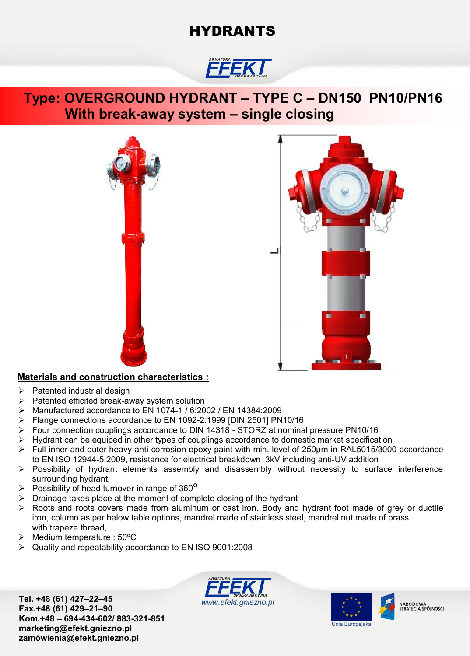# **HYDRANTS**

### *ARMATURA SPÓŁKA AKCYJNA*

## **Type: OVERGROUND HYDRANT – TYPE C – DN150 PN10/PN16 With break-away system – single closing**





### **Materials and construction characteristics :**

- $\triangleright$  Patented industrial design
- $\triangleright$  Patented efficited break-away system solution
- Manufactured accordance to EN 1074-1 / 6:2002 / EN 14384:2009
- Flange connections accordance to EN 1092-2:1999 [DIN 2501] PN10/16
- Four connection couplings accordance to DIN 14318 STORZ at nominal pressure PN10/16
- $\triangleright$  Hydrant can be equiped in other types of couplings accordance to domestic market specification
- Full inner and outer heavy anti-corrosion epoxy paint with min. level of 250μm in RAL5015/3000 accordance to EN ISO 12944-5:2009, resistance for electrical breakdown 3kV including anti-UV addition
- Possibility of hydrant elements assembly and disassembly without necessity to surface interference surrounding hydrant,
- Possibility of head turnover in range of 360**<sup>O</sup>**
- $\triangleright$  Drainage takes place at the moment of complete closing of the hydrant
- Roots and roots covers made from aluminum or cast iron. Body and hydrant foot made of grey or ductile iron, column as per below table options, mandrel made of stainless steel, mandrel nut made of brass with trapeze thread,
- $\triangleright$  Medium temperature : 50 $\degree$ C
- Quality and repeatability accordance to EN ISO 9001:2008

**Tel. +48 (61) 427–22–45 Fax.+48 (61) 429–21–90 Kom.+48 – 694-434-602/ 883-321-851 marketing@efekt.gniezno.pl zamówienia@efekt.gniezno.pl**